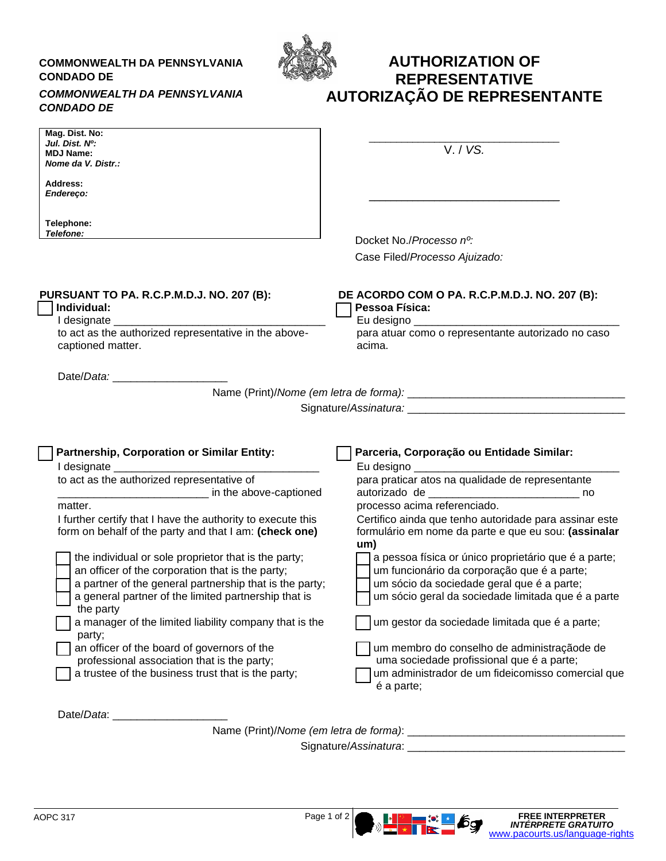## **COMMONWEALTH DA PENNSYLVANIA CONDADO DE**



## **AUTHORIZATION OF REPRESENTATIVE AUTORIZAÇÃO DE REPRESENTANTE**

## *COMMONWEALTH DA PENNSYLVANIA CONDADO DE*

| Mag. Dist. No:<br>Jul. Dist. No:<br><b>MDJ Name:</b><br>Nome da V. Distr.:                                                                                                                                                                                                                                                                                                                                                                                   | V. / VS.                                                                                                                                                                                                |
|--------------------------------------------------------------------------------------------------------------------------------------------------------------------------------------------------------------------------------------------------------------------------------------------------------------------------------------------------------------------------------------------------------------------------------------------------------------|---------------------------------------------------------------------------------------------------------------------------------------------------------------------------------------------------------|
| Address:<br><b>Endereco:</b>                                                                                                                                                                                                                                                                                                                                                                                                                                 |                                                                                                                                                                                                         |
| Telephone:<br>Telefone:                                                                                                                                                                                                                                                                                                                                                                                                                                      | Docket No./Processo no:                                                                                                                                                                                 |
|                                                                                                                                                                                                                                                                                                                                                                                                                                                              | Case Filed/Processo Ajuizado:                                                                                                                                                                           |
| PURSUANT TO PA. R.C.P.M.D.J. NO. 207 (B):<br>Individual:<br>to act as the authorized representative in the above-<br>captioned matter.                                                                                                                                                                                                                                                                                                                       | DE ACORDO COM O PA. R.C.P.M.D.J. NO. 207 (B):<br>Pessoa Física:<br>para atuar como o representante autorizado no caso<br>acima.                                                                         |
|                                                                                                                                                                                                                                                                                                                                                                                                                                                              |                                                                                                                                                                                                         |
|                                                                                                                                                                                                                                                                                                                                                                                                                                                              |                                                                                                                                                                                                         |
| Partnership, Corporation or Similar Entity:<br>I designate _<br>to act as the authorized representative of<br>in the above-captioned                                                                                                                                                                                                                                                                                                                         | Parceria, Corporação ou Entidade Similar:<br>Eu designo<br>para praticar atos na qualidade de representante                                                                                             |
| matter.<br>I further certify that I have the authority to execute this<br>form on behalf of the party and that I am: (check one)                                                                                                                                                                                                                                                                                                                             | processo acima referenciado.<br>Certifico ainda que tenho autoridade para assinar este<br>formulário em nome da parte e que eu sou: (assinalar<br>um)                                                   |
| the individual or sole proprietor that is the party;<br>an officer of the corporation that is the party;<br>a partner of the general partnership that is the party;<br>a general partner of the limited partnership that is<br>the party the state of the state of the state of the state of the state of the state of the state of the state of the state of the state of the state of the state of the state of the state of the state of the state of the | a pessoa física or único proprietário que é a parte;<br>um funcionário da corporação que é a parte;<br>um sócio da sociedade geral que é a parte;<br>um sócio geral da sociedade limitada que é a parte |
| a manager of the limited liability company that is the<br>party;                                                                                                                                                                                                                                                                                                                                                                                             | um gestor da sociedade limitada que é a parte;                                                                                                                                                          |
| an officer of the board of governors of the<br>professional association that is the party;<br>a trustee of the business trust that is the party;                                                                                                                                                                                                                                                                                                             | um membro do conselho de administraçãode de<br>uma sociedade profissional que é a parte;<br>um administrador de um fideicomisso comercial que<br>é a parte;                                             |
|                                                                                                                                                                                                                                                                                                                                                                                                                                                              |                                                                                                                                                                                                         |
|                                                                                                                                                                                                                                                                                                                                                                                                                                                              |                                                                                                                                                                                                         |
|                                                                                                                                                                                                                                                                                                                                                                                                                                                              |                                                                                                                                                                                                         |